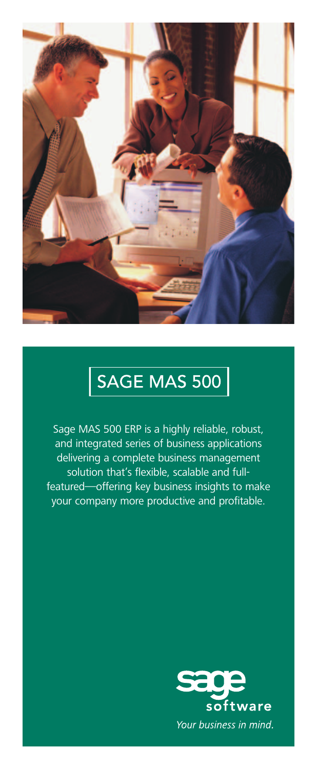

# SAGE MAS 500

Sage MAS 500 ERP is a highly reliable, robust, and integrated series of business applications delivering a complete business management solution that's flexible, scalable and fullfeatured—offering key business insights to make your company more productive and profitable.

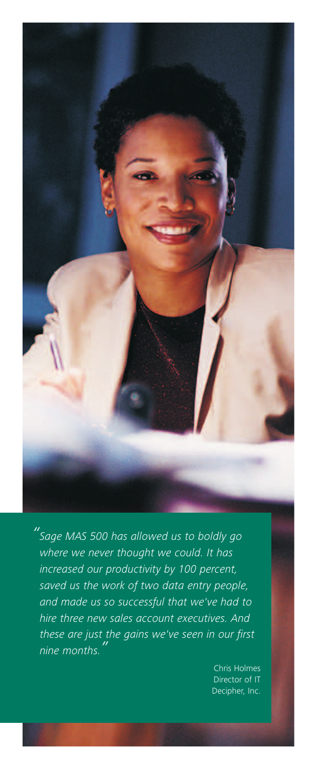

*"Sage MAS 500 has allowed us to boldly go where we never thought we could. It has increased our productivity by 100 percent, saved us the work of two data entry people, and made us so successful that we've had to hire three new sales account executives. And these are just the gains we've seen in our first nine months."*

> Chris Holmes Director of IT Decipher, Inc.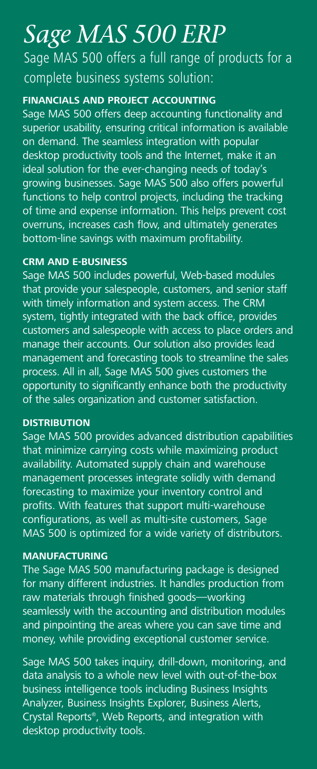# *Sage MAS 500 ERP*

Sage MAS 500 offers a full range of products for a complete business systems solution:

### **FINANCIALS AND PROJECT ACCOUNTING**

Sage MAS 500 offers deep accounting functionality and superior usability, ensuring critical information is available on demand. The seamless integration with popular desktop productivity tools and the Internet, make it an ideal solution for the ever-changing needs of today's growing businesses. Sage MAS 500 also offers powerful functions to help control projects, including the tracking of time and expense information. This helps prevent cost overruns, increases cash flow, and ultimately generates bottom-line savings with maximum profitability.

### **CRM AND E-BUSINESS**

Sage MAS 500 includes powerful, Web-based modules that provide your salespeople, customers, and senior staff with timely information and system access. The CRM system, tightly integrated with the back office, provides customers and salespeople with access to place orders and manage their accounts. Our solution also provides lead management and forecasting tools to streamline the sales process. All in all, Sage MAS 500 gives customers the opportunity to significantly enhance both the productivity of the sales organization and customer satisfaction.

#### **DISTRIBUTION**

Sage MAS 500 provides advanced distribution capabilities that minimize carrying costs while maximizing product availability. Automated supply chain and warehouse management processes integrate solidly with demand forecasting to maximize your inventory control and profits. With features that support multi-warehouse configurations, as well as multi-site customers, Sage MAS 500 is optimized for a wide variety of distributors.

#### **MANUFACTURING**

The Sage MAS 500 manufacturing package is designed for many different industries. It handles production from raw materials through finished goods—working seamlessly with the accounting and distribution modules and pinpointing the areas where you can save time and money, while providing exceptional customer service.

Sage MAS 500 takes inquiry, drill-down, monitoring, and data analysis to a whole new level with out-of-the-box business intelligence tools including Business Insights Analyzer, Business Insights Explorer, Business Alerts, Crystal Reports®, Web Reports, and integration with desktop productivity tools.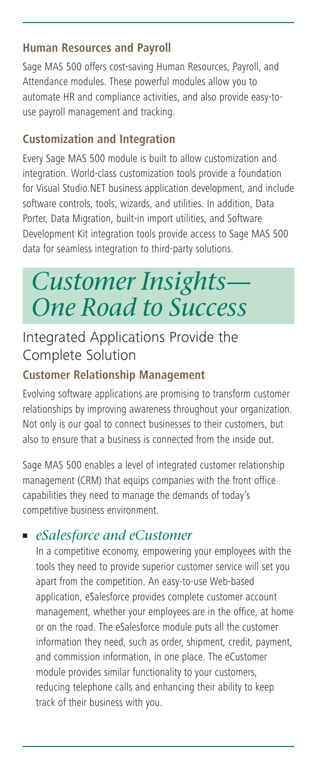### **Human Resources and Payroll**

Sage MAS 500 offers cost-saving Human Resources, Payroll, and Attendance modules. These powerful modules allow you to automate HR and compliance activities, and also provide easy-touse payroll management and tracking.

## **Customization and Integration**

Every Sage MAS 500 module is built to allow customization and integration. World-class customization tools provide a foundation for Visual Studio.NET business application development, and include software controls, tools, wizards, and utilities. In addition, Data Porter, Data Migration, built-in import utilities, and Software Development Kit integration tools provide access to Sage MAS 500 data for seamless integration to third-party solutions.

# *Customer Insights— One Road to Success*

## Integrated Applications Provide the Complete Solution

## **Customer Relationship Management**

Evolving software applications are promising to transform customer relationships by improving awareness throughout your organization. Not only is our goal to connect businesses to their customers, but also to ensure that a business is connected from the inside out.

Sage MAS 500 enables a level of integrated customer relationship management (CRM) that equips companies with the front office capabilities they need to manage the demands of today's competitive business environment.

## **■** *eSalesforce and eCustomer*

In a competitive economy, empowering your employees with the tools they need to provide superior customer service will set you apart from the competition. An easy-to-use Web-based application, eSalesforce provides complete customer account management, whether your employees are in the office, at home or on the road. The eSalesforce module puts all the customer information they need, such as order, shipment, credit, payment, and commission information, in one place. The eCustomer module provides similar functionality to your customers, reducing telephone calls and enhancing their ability to keep track of their business with you.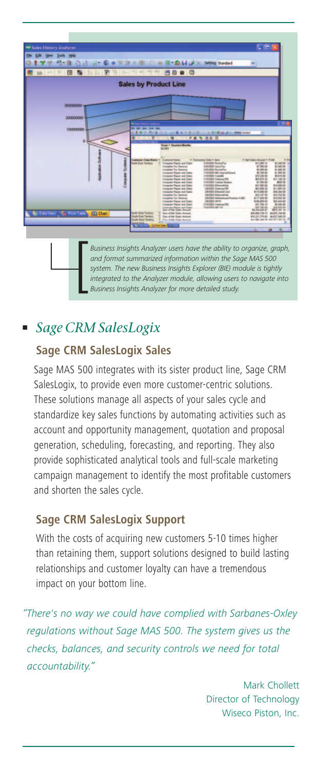

*Business Insights Analyzer users have the ability to organize, graph, and format summarized information within the Sage MAS 500 system. The new Business Insights Explorer (BIE) module is tightly integrated to the Analyzer users have the ability to organize, graph,* **and format summarized information within the Sage MAS 500 system. The new Business Insights Explorer (BIE) module is tightly integrated to the Analyz** 

## **■** *Sage CRM SalesLogix*

## **Sage CRM SalesLogix Sales**

Sage MAS 500 integrates with its sister product line, Sage CRM SalesLogix, to provide even more customer-centric solutions. These solutions manage all aspects of your sales cycle and standardize key sales functions by automating activities such as account and opportunity management, quotation and proposal generation, scheduling, forecasting, and reporting. They also provide sophisticated analytical tools and full-scale marketing campaign management to identify the most profitable customers and shorten the sales cycle.

### **Sage CRM SalesLogix Support**

With the costs of acquiring new customers 5-10 times higher than retaining them, support solutions designed to build lasting relationships and customer loyalty can have a tremendous impact on your bottom line.

*"There's no way we could have complied with Sarbanes-Oxley regulations without Sage MAS 500. The system gives us the checks, balances, and security controls we need for total accountability."*

> Mark Chollett Director of Technology Wiseco Piston, Inc.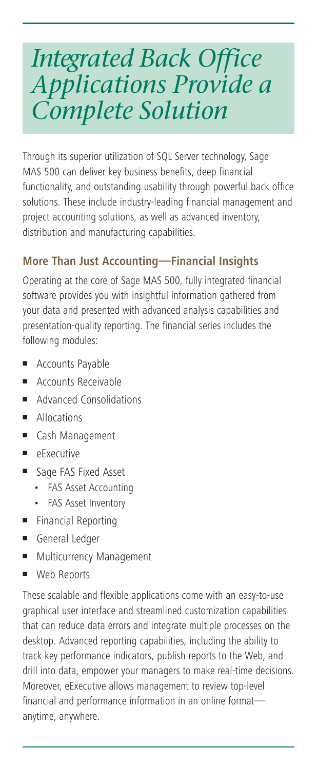# *Integrated Back Office Applications Provide a Complete Solution*

Through its superior utilization of SQL Server technology, Sage MAS 500 can deliver key business benefits, deep financial functionality, and outstanding usability through powerful back office solutions. These include industry-leading financial management and project accounting solutions, as well as advanced inventory, distribution and manufacturing capabilities.

## **More Than Just Accounting—Financial Insights**

Operating at the core of Sage MAS 500, fully integrated financial software provides you with insightful information gathered from your data and presented with advanced analysis capabilities and presentation-quality reporting. The financial series includes the following modules:

- **■** Accounts Payable
- **■** Accounts Receivable
- Advanced Consolidations
- **■** Allocations
- **■** Cash Management
- **■** eExecutive
- **■** Sage FAS Fixed Asset
	- FAS Asset Accounting
	- FAS Asset Inventory
- **■** Financial Reporting
- **■** General Ledger
- **■** Multicurrency Management
- **■** Web Reports

These scalable and flexible applications come with an easy-to-use graphical user interface and streamlined customization capabilities that can reduce data errors and integrate multiple processes on the desktop. Advanced reporting capabilities, including the ability to track key performance indicators, publish reports to the Web, and drill into data, empower your managers to make real-time decisions. Moreover, eExecutive allows management to review top-level financial and performance information in an online format anytime, anywhere.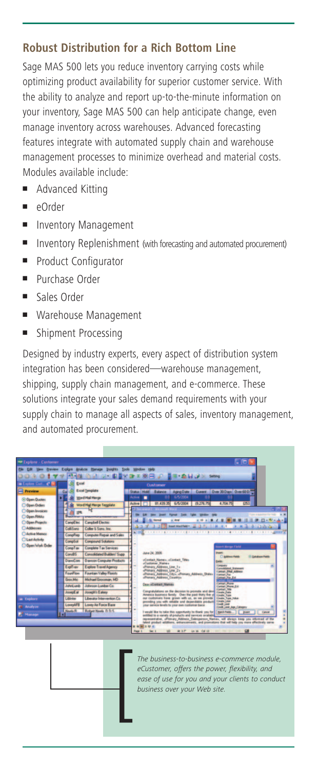## **Robust Distribution for a Rich Bottom Line**

Sage MAS 500 lets you reduce inventory carrying costs while optimizing product availability for superior customer service. With the ability to analyze and report up-to-the-minute information on your inventory, Sage MAS 500 can help anticipate change, even manage inventory across warehouses. Advanced forecasting features integrate with automated supply chain and warehouse management processes to minimize overhead and material costs. Modules available include:

- Advanced Kitting
- **■** eOrder
- **■** Inventory Management
- Inventory Replenishment (with forecasting and automated procurement)
- Product Configurator
- **■** Purchase Order
- **■** Sales Order
- **■** Warehouse Management
- **■** Shipment Processing

Designed by industry experts, every aspect of distribution system integration has been considered—warehouse management, shipping, supply chain management, and e-commerce. These solutions integrate your sales demand requirements with your supply chain to manage all aspects of sales, inventory management, and automated procurement.



*The business-to-business e-commerce module, eCustomer, offers the power, flexibility, and ease of use for you and your clients to conduct* The business-to-business e-co-customer, offers the power,<br>exase of use for you and your<br>business over your Web site.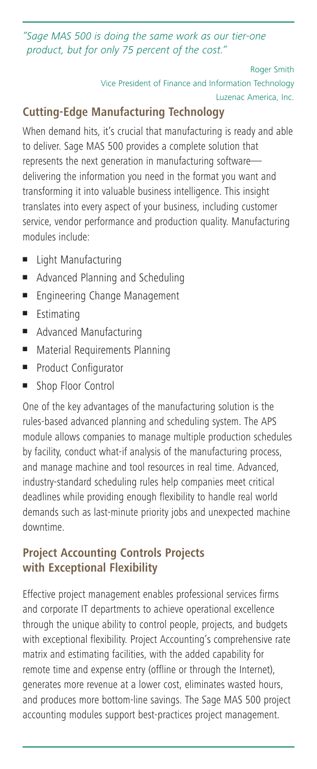*"Sage MAS 500 is doing the same work as our tier-one product, but for only 75 percent of the cost."*

```
Roger Smith
Vice President of Finance and Information Technology
```
Luzenac America, Inc.

## **Cutting-Edge Manufacturing Technology**

When demand hits, it's crucial that manufacturing is ready and able to deliver. Sage MAS 500 provides a complete solution that represents the next generation in manufacturing software delivering the information you need in the format you want and transforming it into valuable business intelligence. This insight translates into every aspect of your business, including customer service, vendor performance and production quality. Manufacturing modules include:

- **■** Light Manufacturing
- Advanced Planning and Scheduling
- **■** Engineering Change Management
- **■** Estimating
- Advanced Manufacturing
- Material Requirements Planning
- Product Configurator
- Shop Floor Control

One of the key advantages of the manufacturing solution is the rules-based advanced planning and scheduling system. The APS module allows companies to manage multiple production schedules by facility, conduct what-if analysis of the manufacturing process, and manage machine and tool resources in real time. Advanced, industry-standard scheduling rules help companies meet critical deadlines while providing enough flexibility to handle real world demands such as last-minute priority jobs and unexpected machine downtime.

## **Project Accounting Controls Projects with Exceptional Flexibility**

Effective project management enables professional services firms and corporate IT departments to achieve operational excellence through the unique ability to control people, projects, and budgets with exceptional flexibility. Project Accounting's comprehensive rate matrix and estimating facilities, with the added capability for remote time and expense entry (offline or through the Internet), generates more revenue at a lower cost, eliminates wasted hours, and produces more bottom-line savings. The Sage MAS 500 project accounting modules support best-practices project management.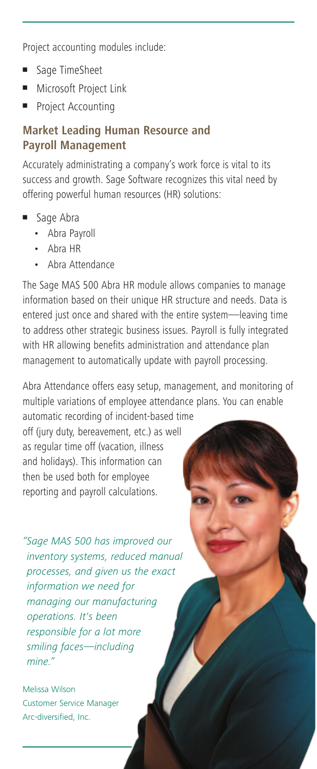Project accounting modules include:

- **■** Sage TimeSheet
- **■** Microsoft Project Link
- **■** Project Accounting

## **Market Leading Human Resource and Payroll Management**

Accurately administrating a company's work force is vital to its success and growth. Sage Software recognizes this vital need by offering powerful human resources (HR) solutions:

- **■** Sage Abra
	- Abra Payroll
	- Abra HR
	- Abra Attendance

The Sage MAS 500 Abra HR module allows companies to manage information based on their unique HR structure and needs. Data is entered just once and shared with the entire system—leaving time to address other strategic business issues. Payroll is fully integrated with HR allowing benefits administration and attendance plan management to automatically update with payroll processing.

Abra Attendance offers easy setup, management, and monitoring of multiple variations of employee attendance plans. You can enable

automatic recording of incident-based time off (jury duty, bereavement, etc.) as well as regular time off (vacation, illness and holidays). This information can then be used both for employee reporting and payroll calculations.

*"Sage MAS 500 has improved our inventory systems, reduced manual processes, and given us the exact information we need for managing our manufacturing operations. It's been responsible for a lot more smiling faces—including mine."*

Melissa Wilson Customer Service Manager Arc-diversified, Inc.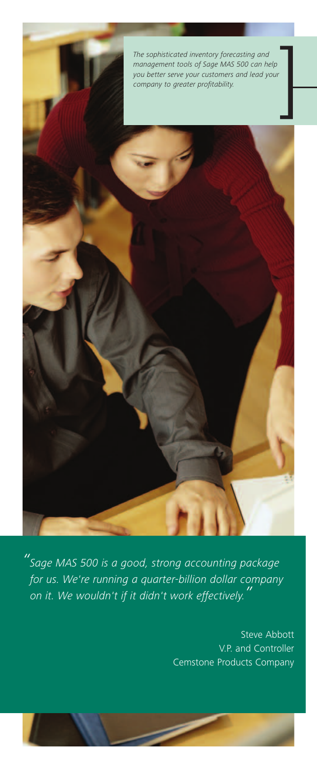

*"Sage MAS 500 is a good, strong accounting package for us. We're running a quarter-billion dollar company on it. We wouldn't if it didn't work effectively."*

> Steve Abbott V.P. and Controller Cemstone Products Company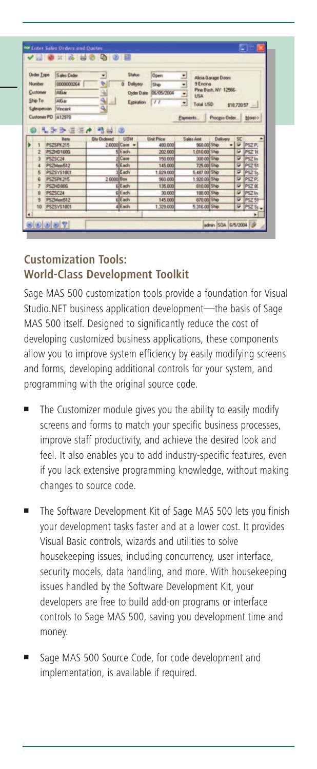| <b>Order Type</b>  | <b>Sales Order</b> | ×                  | <b>Status</b>              | Open              | 론                        |                  | Alicia Garage Doors  |           |                   |
|--------------------|--------------------|--------------------|----------------------------|-------------------|--------------------------|------------------|----------------------|-----------|-------------------|
| Number             | 0000000264         | ٧                  | Delivery<br>$\overline{a}$ | Ship              | $\overline{\phantom{a}}$ | <b>9 Enciria</b> |                      |           |                   |
| Customer           | AIG at             |                    | <b>Order Date</b>          | 06/05/2004        | Ξ                        | <b>USA</b>       | Pine Bush, NY 12566- |           |                   |
| Ship To            | AlG at             | $\frac{1}{2}$      | Expiration                 | $^{\prime}$       |                          |                  |                      |           |                   |
| Salesperson        | Vincent            |                    |                            |                   | Ξ                        | <b>Total USD</b> |                      |           | $$18,720.57$ -    |
| Customer PO A12978 |                    |                    |                            |                   | Payments                 |                  | Process Order        |           | More>>            |
|                    |                    |                    |                            |                   |                          |                  |                      |           |                   |
|                    |                    |                    |                            |                   |                          |                  |                      |           |                   |
|                    | I-2-3-5 (5 / 2 4 0 |                    |                            |                   |                          |                  |                      |           |                   |
|                    | Item               | <b>Qty Ordered</b> | <b>UOM</b>                 | <b>Unit Price</b> |                          | Sales And        | Delivery             | <b>SC</b> |                   |
|                    | <b>PSZSPK215</b>   |                    | 2.0000 Case                | 480,000           |                          | 960.00 Ship      |                      | ÷         | PSZ <sub>P</sub>  |
| 2                  | <b>PSZHD160G</b>   |                    | <b>SEach</b>               | 202,000           |                          | 1.010.00 Ship    |                      | ⊽         | <b>PSZ 16</b>     |
| $\overline{a}$     | PSZSC24            |                    | 2 Case                     | 150,000           |                          | 300 00 Ship      |                      | ⊽         | PSZ In            |
| 4                  | PSZMem512          |                    | <b>KIE ach</b>             | 145,000           |                          | 725 00 Ship      |                      |           | $\n  PSZ 51$      |
| 5                  | PSZSYS1001         |                    | $s$ Fach                   | 1,829,000         |                          | 5.487.00 Ship    |                      | ×         | PSZ <sub>St</sub> |
| R                  | <b>PSZSPK215</b>   | 2.0000 Box         |                            | 960,000           |                          | 1.920.00 Ship    |                      | ☞         | PSZ P.            |
| 7                  | PSZHD80G           |                    | <b>ElEach</b>              | 135,000           |                          | 810.00 Ship      |                      | Ψ         | <b>PSZ 80</b>     |
| 8                  | <b>PSZSC24</b>     |                    | <b>SIE</b> ach             | 30,000            |                          | 180.00 Ship      |                      | ₽         | PSZ In            |
| ь<br>q             | PSZMem512          |                    | <b>ALE</b> ach             | 145,000           |                          | 870.00 Ship      |                      | σ         | PSZ <sub>51</sub> |

## **Customization Tools: World-Class Development Toolkit**

Sage MAS 500 customization tools provide a foundation for Visual Studio.NET business application development—the basis of Sage MAS 500 itself. Designed to significantly reduce the cost of developing customized business applications, these components allow you to improve system efficiency by easily modifying screens and forms, developing additional controls for your system, and programming with the original source code.

- The Customizer module gives you the ability to easily modify screens and forms to match your specific business processes, improve staff productivity, and achieve the desired look and feel. It also enables you to add industry-specific features, even if you lack extensive programming knowledge, without making changes to source code.
- **■** The Software Development Kit of Sage MAS 500 lets you finish your development tasks faster and at a lower cost. It provides Visual Basic controls, wizards and utilities to solve housekeeping issues, including concurrency, user interface, security models, data handling, and more. With housekeeping issues handled by the Software Development Kit, your developers are free to build add-on programs or interface controls to Sage MAS 500, saving you development time and money.
- Sage MAS 500 Source Code, for code development and implementation, is available if required.